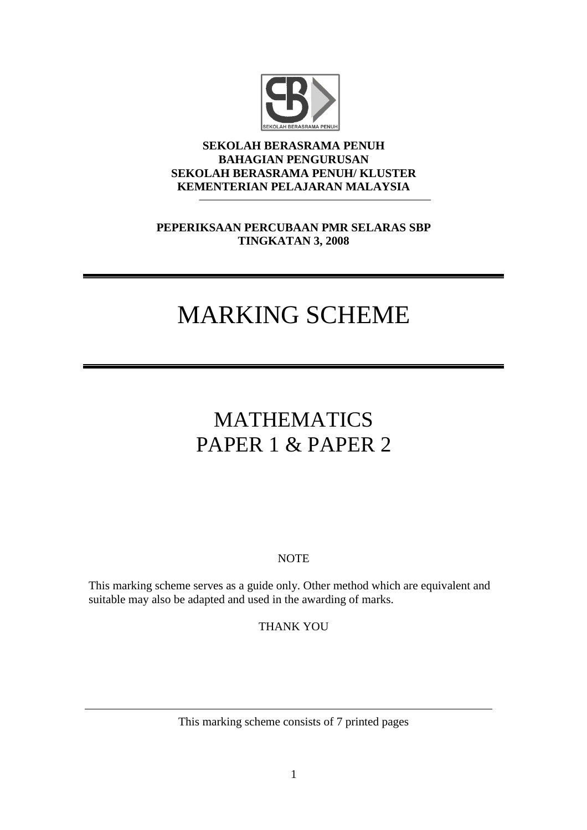

#### **SEKOLAH BERASRAMA PENUH BAHAGIAN PENGURUSAN SEKOLAH BERASRAMA PENUH/ KLUSTER KEMENTERIAN PELAJARAN MALAYSIA**

## **PEPERIKSAAN PERCUBAAN PMR SELARAS SBP TINGKATAN 3, 2008**

# MARKING SCHEME

# MATHEMATICS PAPER 1 & PAPER 2

### **NOTE**

This marking scheme serves as a guide only. Other method which are equivalent and suitable may also be adapted and used in the awarding of marks.

THANK YOU

This marking scheme consists of 7 printed pages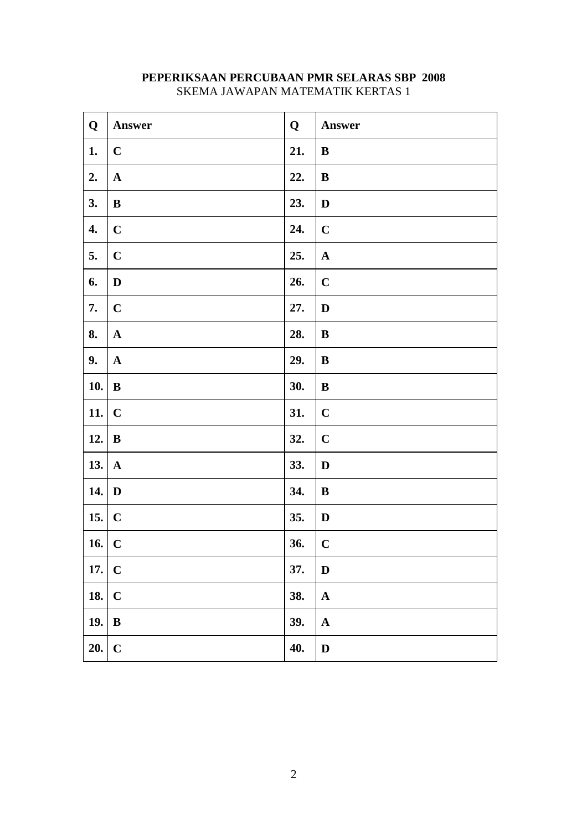| Q             | Answer       | Q   | Answer                |
|---------------|--------------|-----|-----------------------|
| 1.            | $\mathbf C$  | 21. | $\bf{B}$              |
| 2.            | $\mathbf{A}$ | 22. | $\bf{B}$              |
| 3.            | $\bf{B}$     | 23. | $\mathbf D$           |
| 4.            | $\mathbf C$  | 24. | $\mathbf C$           |
| 5.            | $\mathbf C$  | 25. | $\mathbf A$           |
| 6.            | $\mathbf D$  | 26. | $\mathbf C$           |
| 7.            | $\mathbf C$  | 27. | $\mathbf D$           |
| 8.            | $\mathbf{A}$ | 28. | $\bf{B}$              |
| 9.            | $\mathbf A$  | 29. | $\, {\bf B}$          |
| <b>10.</b>    | $\, {\bf B}$ | 30. | $\bf{B}$              |
| $11.$ C       |              | 31. | $\mathbf C$           |
| 12. $\vert$ B |              | 32. | $\mathbf C$           |
| 13. $\vert$ A |              | 33. | $\mathbf D$           |
| 14. $\vert$ D |              | 34. | $\, {\bf B}$          |
| 15. $\vert$ C |              | 35. | $\mathbf D$           |
| $16.$ C       |              | 36. | $\mathbf C$           |
| $17.$ C       |              | 37. | D                     |
| 18. $\vert$ C |              | 38. | $\mathbf A$           |
| 19. $\vert$ B |              | 39. | $\boldsymbol{\rm{A}}$ |
| 20.           | $\mathbf C$  | 40. | $\mathbf D$           |

### **PEPERIKSAAN PERCUBAAN PMR SELARAS SBP 2008** SKEMA JAWAPAN MATEMATIK KERTAS 1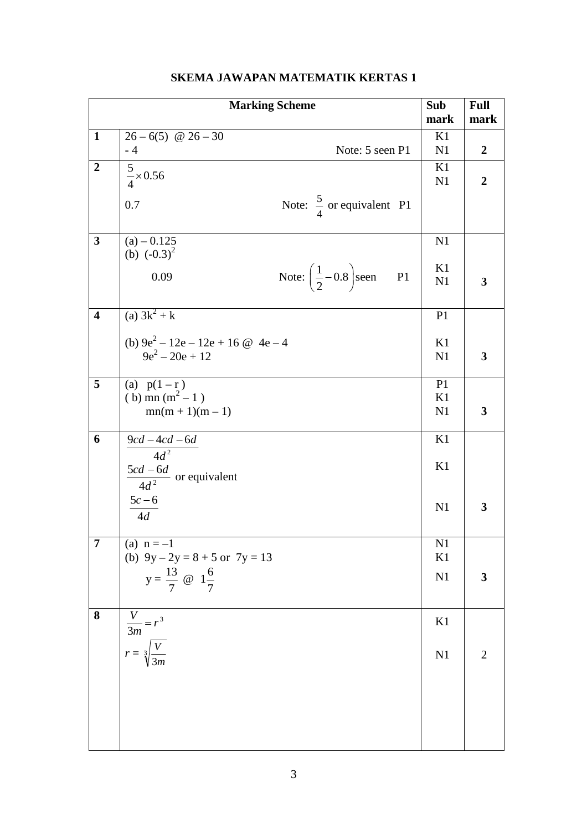| <b>Marking Scheme</b>   |                                                                |                | <b>Full</b>    |
|-------------------------|----------------------------------------------------------------|----------------|----------------|
|                         |                                                                | mark           | mark           |
| $\mathbf{1}$            | $26-6(5)$ @ $26-30$                                            | K1             |                |
|                         | $-4$<br>Note: 5 seen P1                                        | N <sub>1</sub> | $\overline{2}$ |
| $\boldsymbol{2}$        |                                                                | K1             |                |
|                         | $\frac{5}{4} \times 0.56$                                      | N1             | $\overline{2}$ |
|                         |                                                                |                |                |
|                         | Note: $\frac{5}{4}$ or equivalent P1<br>0.7                    |                |                |
|                         |                                                                |                |                |
| $\overline{\mathbf{3}}$ | $(a) - 0.125$                                                  | N1             |                |
|                         | (b) $(-0.3)^2$                                                 |                |                |
|                         | Note: $\left(\frac{1}{2}-0.8\right)$ seen<br><b>P1</b><br>0.09 | K1             |                |
|                         |                                                                | N1             | 3              |
|                         |                                                                |                |                |
| $\overline{\mathbf{4}}$ | (a) $3k^2 + k$                                                 | P <sub>1</sub> |                |
|                         |                                                                |                |                |
|                         | (b) $9e^2 - 12e - 12e + 16 \omega 4e - 4$<br>$9e^2 - 20e + 12$ | K1             |                |
|                         |                                                                | N1             | 3              |
| 5                       | (a) $p(1 - r)$                                                 | P <sub>1</sub> |                |
|                         | (b) mn $(m^2 - 1)$                                             | K1             |                |
|                         | $mn(m + 1)(m - 1)$                                             | N <sub>1</sub> | 3              |
|                         |                                                                |                |                |
| 6                       | $\frac{9cd-4cd-6d}{4d^2}$                                      | K1             |                |
|                         |                                                                |                |                |
|                         | $\frac{5cd-6d}{4d^2}$ or equivalent                            | K1             |                |
|                         |                                                                |                |                |
|                         | $5c - 6$                                                       | N <sub>1</sub> | 3              |
|                         | 4d                                                             |                |                |
|                         |                                                                |                |                |
| 7                       | (a) $n = -1$                                                   | N <sub>1</sub> |                |
|                         | (b) $9y - 2y = 8 + 5$ or $7y = 13$                             | K1             |                |
|                         | $y = \frac{13}{7}$ @ $1\frac{6}{7}$                            | N <sub>1</sub> | 3              |
|                         |                                                                |                |                |
| 8                       |                                                                |                |                |
|                         |                                                                | K1             |                |
|                         |                                                                |                |                |
|                         | $\frac{V}{3m} = r^3$<br>$r = \sqrt[3]{\frac{V}{3m}}$           | N <sub>1</sub> | $\mathbf{2}$   |
|                         |                                                                |                |                |
|                         |                                                                |                |                |
|                         |                                                                |                |                |
|                         |                                                                |                |                |
|                         |                                                                |                |                |
|                         |                                                                |                |                |

## **SKEMA JAWAPAN MATEMATIK KERTAS 1**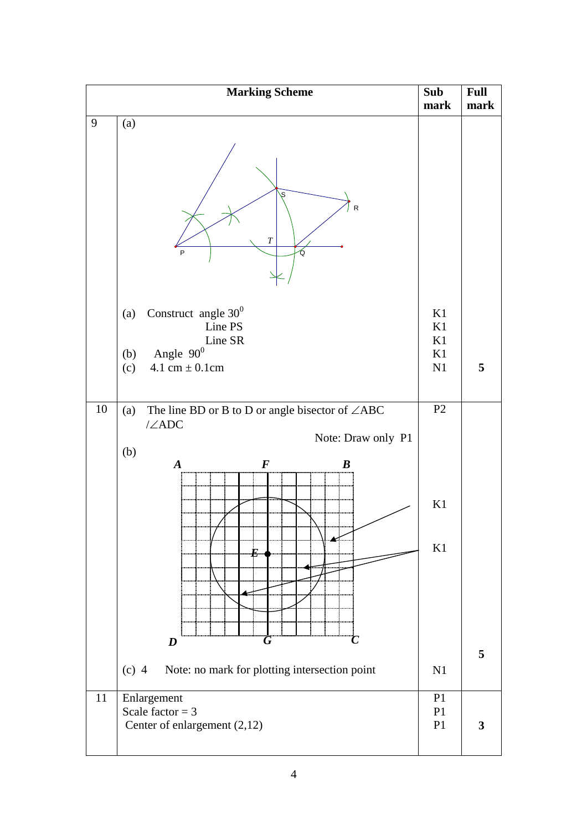| <b>Marking Scheme</b> |                                                                                                                                                                              | Sub<br>mark                            | <b>Full</b><br>mark |
|-----------------------|------------------------------------------------------------------------------------------------------------------------------------------------------------------------------|----------------------------------------|---------------------|
| $\boldsymbol{9}$      | (a)<br>S<br>R<br>$\boldsymbol{T}$<br>P<br>Ő                                                                                                                                  |                                        |                     |
|                       | Construct angle $30^0$<br>(a)<br>Line PS<br>Line SR<br>Angle $90^0$<br>(b)<br>4.1 cm $\pm$ 0.1 cm<br>(c)                                                                     | K1<br>K1<br>K1<br>K1<br>N1             | 5                   |
| 10                    | The line BD or B to D or angle bisector of $\angle ABC$<br>(a)<br>$\angle ADC$<br>Note: Draw only P1<br>(b)<br>$\boldsymbol{F}$<br>$\boldsymbol{A}$<br>$\boldsymbol{B}$<br>E | P <sub>2</sub><br>K1<br>K1             |                     |
|                       | $\boldsymbol{D}$<br>( i<br>Note: no mark for plotting intersection point<br>$(c)$ 4                                                                                          | N1                                     | 5                   |
| 11                    | Enlargement<br>Scale factor = $3$<br>Center of enlargement (2,12)                                                                                                            | P <sub>1</sub><br>P1<br>P <sub>1</sub> | $\mathbf{3}$        |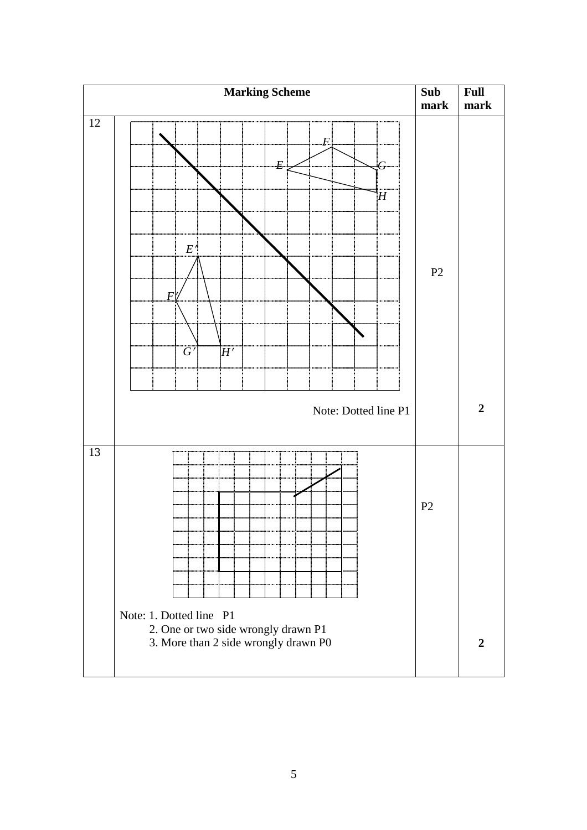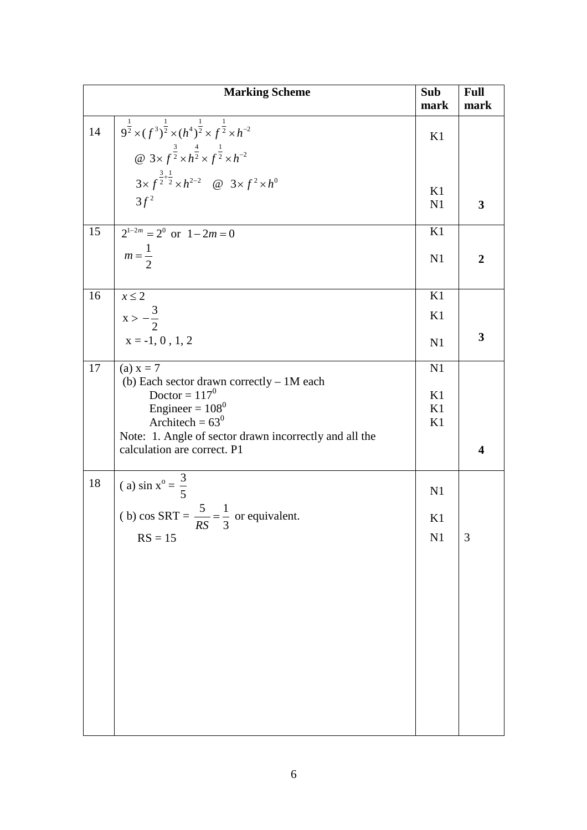|    | <b>Marking Scheme</b>                                                                                        | Sub<br>mark   | <b>Full</b><br>mark     |
|----|--------------------------------------------------------------------------------------------------------------|---------------|-------------------------|
| 14 | $9^{\frac{1}{2}} \times (f^3)^{\frac{1}{2}} \times (h^4)^{\frac{1}{2}} \times f^{\frac{1}{2}} \times h^{-2}$ | K1            |                         |
|    | @ $3 \times f^{\frac{3}{2}} \times h^{\frac{4}{2}} \times f^{\frac{1}{2}} \times h^{-2}$                     |               |                         |
|    | $3 \times f^{\frac{3}{2} + \frac{1}{2}} \times h^{2-2}$ @ $3 \times f^2 \times h^0$                          | K1            |                         |
|    | $3f^2$                                                                                                       | N1            | $\overline{\mathbf{3}}$ |
| 15 | $2^{1-2m} = 2^0$ or $1 - 2m = 0$                                                                             | K1            |                         |
|    | $m=\frac{1}{2}$                                                                                              | N1            | $\overline{2}$          |
| 16 | $x \leq 2$                                                                                                   | K1            |                         |
|    | $x > -\frac{3}{2}$                                                                                           | K1            |                         |
|    | $x = -1, 0, 1, 2$                                                                                            | N1            | $\overline{\mathbf{3}}$ |
| 17 | (a) $x = 7$<br>(b) Each sector drawn correctly - 1M each                                                     | N1            |                         |
|    | Doctor = $117^0$                                                                                             | K1            |                         |
|    | Engineer = $108^0$<br>Architech = $63^0$                                                                     | K1<br>K1      |                         |
|    | Note: 1. Angle of sector drawn incorrectly and all the<br>calculation are correct. P1                        |               | $\overline{\mathbf{4}}$ |
| 18 | (a) $\sin x^{\circ} = \frac{3}{5}$                                                                           | N1            |                         |
|    | (b) cos SRT = $\frac{5}{RS} = \frac{1}{3}$ or equivalent.                                                    | K1            |                         |
|    | $RS = 15$                                                                                                    | $\mathbf{N}1$ | 3                       |
|    |                                                                                                              |               |                         |
|    |                                                                                                              |               |                         |
|    |                                                                                                              |               |                         |
|    |                                                                                                              |               |                         |
|    |                                                                                                              |               |                         |
|    |                                                                                                              |               |                         |
|    |                                                                                                              |               |                         |